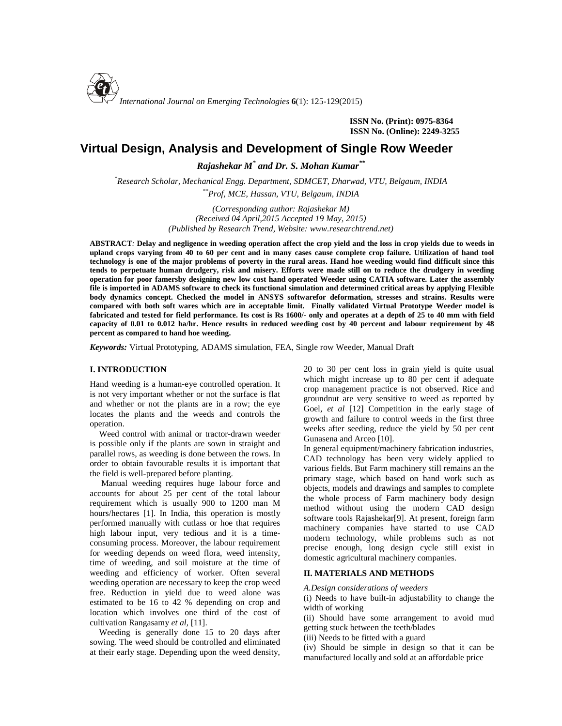

**ISSN No. (Print): 0975-8364 ISSN No. (Online): 2249-3255**

# **Virtual Design, Analysis and Development of Single Row Weeder**

*Rajashekar M\* and Dr. S. Mohan Kumar\*\**

*\*Research Scholar, Mechanical Engg. Department, SDMCET, Dharwad, VTU, Belgaum, INDIA \*\*Prof, MCE, Hassan, VTU, Belgaum, INDIA*

> *(Corresponding author: Rajashekar M) (Received 04 April,2015 Accepted 19 May, 2015) (Published by Research Trend, Website: [www.researchtrend.net\)](www.researchtrend.net)*

**ABSTRACT***:* **Delay and negligence in weeding operation affect the crop yield and the loss in crop yields due to weeds in upland crops varying from 40 to 60 per cent and in many cases cause complete crop failure. Utilization of hand tool technology is one of the major problems of poverty in the rural areas. Hand hoe weeding would find difficult since this tends to perpetuate human drudgery, risk and misery. Efforts were made still on to reduce the drudgery in weeding operation for poor famersby designing new low cost hand operated Weeder using CATIA software. Later the assembly file is imported in ADAMS software to check its functional simulation and determined critical areas by applying Flexible body dynamics concept. Checked the model in ANSYS softwarefor deformation, stresses and strains. Results were compared with both soft wares which are in acceptable limit. Finally validated Virtual Prototype Weeder model is fabricated and tested for field performance. Its cost is Rs 1600/- only and operates at a depth of 25 to 40 mm with field capacity of 0.01 to 0.012 ha/hr. Hence results in reduced weeding cost by 40 percent and labour requirement by 48 percent as compared to hand hoe weeding.**

*Keywords:* Virtual Prototyping, ADAMS simulation, FEA, Single row Weeder, Manual Draft

# **I. INTRODUCTION**

Hand weeding is a human-eye controlled operation. It is not very important whether or not the surface is flat and whether or not the plants are in a row; the eye locates the plants and the weeds and controls the operation.

Weed control with animal or tractor-drawn weeder is possible only if the plants are sown in straight and parallel rows, as weeding is done between the rows. In order to obtain favourable results it is important that the field is well-prepared before planting.

Manual weeding requires huge labour force and accounts for about 25 per cent of the total labour requirement which is usually 900 to 1200 man M hours/hectares [1]. In India, this operation is mostly performed manually with cutlass or hoe that requires high labour input, very tedious and it is a time consuming process. Moreover, the labour requirement for weeding depends on weed flora, weed intensity, time of weeding, and soil moisture at the time of weeding and efficiency of worker. Often several weeding operation are necessary to keep the crop weed free. Reduction in yield due to weed alone was estimated to be 16 to 42 % depending on crop and location which involves one third of the cost of cultivation Rangasamy *et al,* [11].

Weeding is generally done 15 to 20 days after sowing. The weed should be controlled and eliminated at their early stage. Depending upon the weed density, 20 to 30 per cent loss in grain yield is quite usual which might increase up to 80 per cent if adequate crop management practice is not observed. Rice and groundnut are very sensitive to weed as reported by Goel, *et al* [12] Competition in the early stage of growth and failure to control weeds in the first three weeks after seeding, reduce the yield by 50 per cent Gunasena and Arceo [10].

In general equipment/machinery fabrication industries, CAD technology has been very widely applied to various fields. But Farm machinery still remains an the primary stage, which based on hand work such as objects, models and drawings and samples to complete the whole process of Farm machinery body design method without using the modern CAD design software tools Rajashekar[9]. At present, foreign farm machinery companies have started to use CAD modern technology, while problems such as not precise enough, long design cycle still exist in domestic agricultural machinery companies.

### **II. MATERIALS AND METHODS**

*A.Design considerations of weeders*

(i) Needs to have built-in adjustability to change the width of working

(ii) Should have some arrangement to avoid mud getting stuck between the teeth/blades

(iii) Needs to be fitted with a guard

(iv) Should be simple in design so that it can be manufactured locally and sold at an affordable price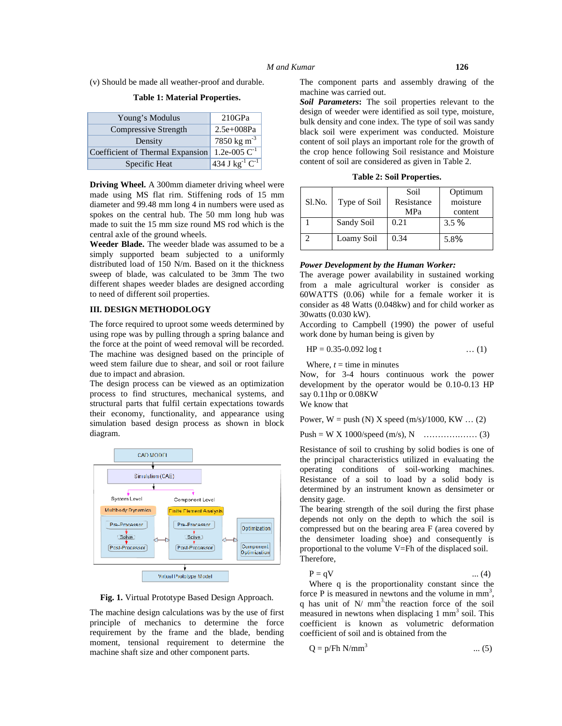(v) Should be made all weather-proof and durable.

| Young's Modulus                  | 210GPa                                |
|----------------------------------|---------------------------------------|
| Compressive Strength             | $2.5e+008Pa$                          |
| Density                          | 7850 kg m <sup>-3</sup>               |
| Coefficient of Thermal Expansion | 1.2e-005 $C^{-1}$                     |
| Specific Heat                    | $434 \text{ J kg}^{-1} \text{C}^{-1}$ |

**Table 1: Material Properties.**

**Driving Wheel.** A 300mm diameter driving wheel were made using MS flat rim. Stiffening rods of 15 mm diameter and 99.48 mm long 4 in numbers were used as spokes on the central hub. The 50 mm long hub was made to suit the 15 mm size round MS rod which is the central axle of the ground wheels.

**Weeder Blade.** The weeder blade was assumed to be a simply supported beam subjected to a uniformly distributed load of 150 N/m. Based on it the thickness sweep of blade, was calculated to be 3mm The two different shapes weeder blades are designed according to need of different soil properties.

#### **III. DESIGN METHODOLOGY**

The force required to uproot some weeds determined by using rope was by pulling through a spring balance and the force at the point of weed removal will be recorded. The machine was designed based on the principle of weed stem failure due to shear, and soil or root failure due to impact and abrasion.

The design process can be viewed as an optimization process to find structures, mechanical systems, and structural parts that fulfil certain expectations towards their economy, functionality, and appearance using simulation based design process as shown in block diagram.



**Fig. 1.** Virtual Prototype Based Design Approach.

The machine design calculations was by the use of first principle of mechanics to determine the force requirement by the frame and the blade, bending moment, tensional requirement to determine the machine shaft size and other component parts.

The component parts and assembly drawing of the machine was carried out.

*Soil Parameters***:** The soil properties relevant to the design of weeder were identified as soil type, moisture, bulk density and cone index. The type of soil was sandy black soil were experiment was conducted. Moisture content of soil plays an important role for the growth of the crop hence following Soil resistance and Moisture content of soil are considered as given in Table 2.

**Table 2: Soil Properties.**

| Sl.No. | Type of Soil | Soil<br>Resistance | Optimum<br>moisture |
|--------|--------------|--------------------|---------------------|
|        |              | MPa                | content             |
|        | Sandy Soil   | 0.21               | $3.5\%$             |
|        | Loamy Soil   | 0.34               | 5.8%                |

#### *Power Development by the Human Worker:*

The average power availability in sustained working from a male agricultural worker is consider as 60WATTS (0.06) while for a female worker it is consider as 48 Watts (0.048kw) and for child worker as 30watts (0.030 kW).

According to Campbell (1990) the power of useful work done by human being is given by

$$
HP = 0.35 - 0.092 \log t \qquad \qquad \dots (1)
$$

Where,  $t =$  time in minutes

Now, for 3-4 hours continuous work the power development by the operator would be 0.10-0.13 HP say 0.11hp or 0.08KW We know that

Power,  $W = push (N) X speed (m/s)/1000, KW ... (2)$ 

Push = W X 1000/speed (m/s), N ………….…… (3)

Resistance of soil to crushing by solid bodies is one of the principal characteristics utilized in evaluating the operating conditions of soil-working machines. Resistance of a soil to load by a solid body is determined by an instrument known as densimeter or density gage.

The bearing strength of the soil during the first phase depends not only on the depth to which the soil is compressed but on the bearing area F (area covered by the densimeter loading shoe) and consequently is proportional to the volume V=Fh of the displaced soil. Therefore,

| $P = qV$ | $\dots(4)$ |
|----------|------------|
|----------|------------|

Where q is the proportionality constant since the force P is measured in newtons and the volume in  $mm<sup>3</sup>$ , q has unit of  $N/mm<sup>3</sup>$  the reaction force of the soil measured in newtons when displacing  $1 \text{ mm}^3$  soil. This coefficient is known as volumetric deformation coefficient of soil and is obtained from the

$$
Q = p/Fh N/mm^3
$$
 ... (5)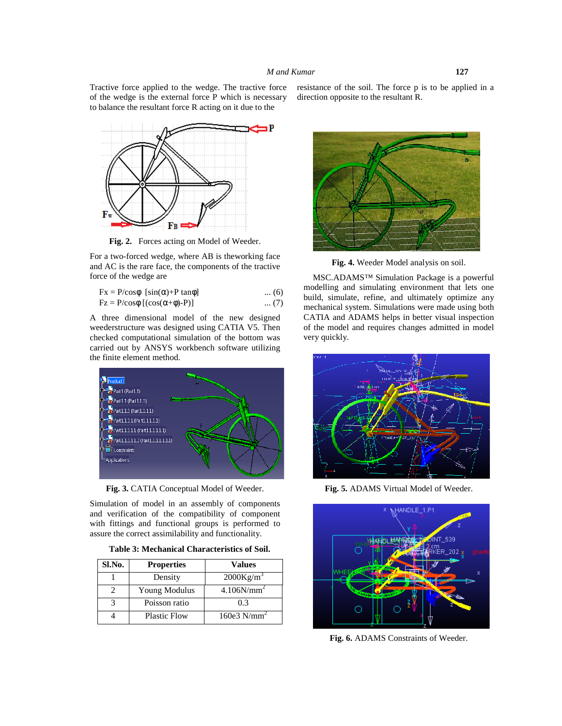Tractive force applied to the wedge. The tractive force of the wedge is the external force P which is necessary to balance the resultant force R acting on it due to the



**Fig. 2.** Forces acting on Model of Weeder.

For a two-forced wedge, where AB is theworking face and AC is the rare face, the components of the tractive force of the wedge are

| $Fx = P/cos\phi$ [sin( $\alpha$ )+P tan $\phi$ ] | $\dots(6)$ |  |
|--------------------------------------------------|------------|--|
| $Fz = P/cos\phi [(cos(\alpha+\phi)-P)]$          | $\dots(7)$ |  |

A three dimensional model of the new designed weederstructure was designed using CATIA V5. Then checked computational simulation of the bottom was carried out by ANSYS workbench software utilizing the finite element method.



**Fig. 3.** CATIA Conceptual Model of Weeder.

Simulation of model in an assembly of components and verification of the compatibility of component with fittings and functional groups is performed to assure the correct assimilability and functionality.

| Sl.No. | <b>Properties</b>   | Values                    |
|--------|---------------------|---------------------------|
|        | Density             | 2000Kg/m <sup>3</sup>     |
|        | Young Modulus       | 4.106N/mm                 |
|        | Poisson ratio       | 0.3                       |
|        | <b>Plastic Flow</b> | $160e3$ N/mm <sup>2</sup> |

resistance of the soil. The force p is to be applied in a direction opposite to the resultant R.



**Fig. 4.** Weeder Model analysis on soil.

MSC.ADAMS™ Simulation Package is a powerful modelling and simulating environment that lets one build, simulate, refine, and ultimately optimize any mechanical system. Simulations were made using both CATIA and ADAMS helps in better visual inspection of the model and requires changes admitted in model very quickly.



**Fig. 5.** ADAMS Virtual Model of Weeder.



**Fig. 6.** ADAMS Constraints of Weeder.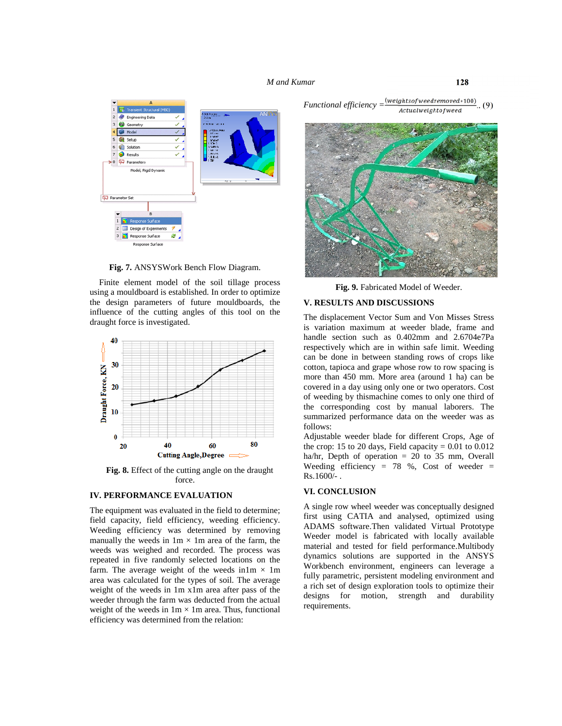#### *M and Kumar* **128**



**Fig. 7.** ANSYSWork Bench Flow Diagram.

Finite element model of the soil tillage process using a mouldboard is established. In order to optimize the design parameters of future mouldboards, the influence of the cutting angles of this tool on the draught force is investigated.



**Fig. 8.** Effect of the cutting angle on the draught force.

# **IV. PERFORMANCE EVALUATION**

The equipment was evaluated in the field to determine; field capacity, field efficiency, weeding efficiency. Weeding efficiency was determined by removing manually the weeds in  $1m \times 1m$  area of the farm, the weeds was weighed and recorded. The process was repeated in five randomly selected locations on the farm. The average weight of the weeds in1m  $\times$  1m area was calculated for the types of soil. The average weight of the weeds in  $1m \times 1m$  area after pass of the  $\frac{a \text{ HCI}}{2}$  and  $\frac{b \text{ HCI}}{2}$  area  $\frac{c \text{ HCI}}{2}$  area  $\frac{c \text{ HCI}}{2}$  area  $\frac{d \text{ HCI}}{2}$  area  $\frac{d \text{ HCI}}{2}$  area  $\frac{d \text{ HCI}}{2}$  area  $\frac{d \text{ HCI}}{2}$  are weeder through the farm was deducted from the actual weight of the weeds in  $1m \times 1m$  area. Thus, functional efficiency was determined from the relation:

*Functional efficiency* =  $\frac{(weights of we der moved * 100)}{Actual weight of weed}$ 

**Fig. 9.** Fabricated Model of Weeder.

## **V. RESULTS AND DISCUSSIONS**

The displacement Vector Sum and Von Misses Stress is variation maximum at weeder blade, frame and handle section such as 0.402mm and 2.6704e7Pa respectively which are in within safe limit. Weeding can be done in between standing rows of crops like cotton, tapioca and grape whose row to row spacing is more than 450 mm. More area (around 1 ha) can be covered in a day using only one or two operators. Cost of weeding by thismachine comes to only one third of the corresponding cost by manual laborers. The summarized performance data on the weeder was as follows:

Adjustable weeder blade for different Crops, Age of the crop: 15 to 20 days, Field capacity  $= 0.01$  to 0.012 ha/hr, Depth of operation = 20 to 35 mm, Overall Weeding efficiency = 78 %, Cost of weeder =  $Rs.1600/-$ .

### **VI. CONCLUSION**

A single row wheel weeder was conceptually designed first using CATIA and analysed, optimized using ADAMS software.Then validated Virtual Prototype Weeder model is fabricated with locally available material and tested for field performance.Multibody dynamics solutions are supported in the ANSYS Workbench environment, engineers can leverage a fully parametric, persistent modeling environment and a rich set of design exploration tools to optimize their motion, strength and durability requirements.

 $(9)$